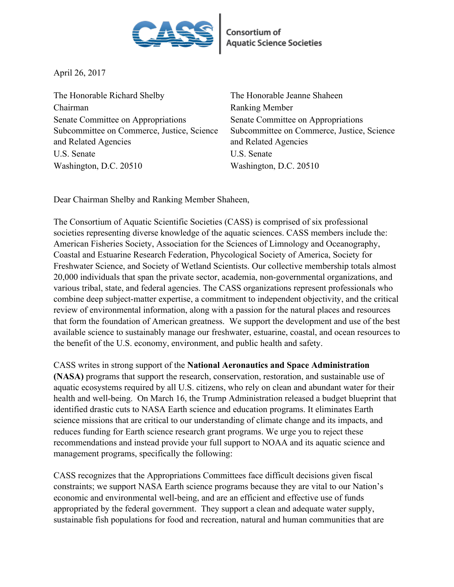

April 26, 2017

The Honorable Richard Shelby The Honorable Jeanne Shaheen Chairman Ranking Member Senate Committee on Appropriations Subcommittee on Commerce, Justice, Science and Related Agencies U.S. Senate U.S. Senate Washington, D.C. 20510 Washington, D.C. 20510

Senate Committee on Appropriations Subcommittee on Commerce, Justice, Science and Related Agencies

Dear Chairman Shelby and Ranking Member Shaheen,

The Consortium of Aquatic Scientific Societies (CASS) is comprised of six professional societies representing diverse knowledge of the aquatic sciences. CASS members include the: American Fisheries Society, Association for the Sciences of Limnology and Oceanography, Coastal and Estuarine Research Federation, Phycological Society of America, Society for Freshwater Science, and Society of Wetland Scientists. Our collective membership totals almost 20,000 individuals that span the private sector, academia, non-governmental organizations, and various tribal, state, and federal agencies. The CASS organizations represent professionals who combine deep subject-matter expertise, a commitment to independent objectivity, and the critical review of environmental information, along with a passion for the natural places and resources that form the foundation of American greatness. We support the development and use of the best available science to sustainably manage our freshwater, estuarine, coastal, and ocean resources to the benefit of the U.S. economy, environment, and public health and safety.

CASS writes in strong support of the **National Aeronautics and Space Administration (NASA)** programs that support the research, conservation, restoration, and sustainable use of aquatic ecosystems required by all U.S. citizens, who rely on clean and abundant water for their health and well-being. On March 16, the Trump Administration released a budget blueprint that identified drastic cuts to NASA Earth science and education programs. It eliminates Earth science missions that are critical to our understanding of climate change and its impacts, and reduces funding for Earth science research grant programs. We urge you to reject these recommendations and instead provide your full support to NOAA and its aquatic science and management programs, specifically the following:

CASS recognizes that the Appropriations Committees face difficult decisions given fiscal constraints; we support NASA Earth science programs because they are vital to our Nation's economic and environmental well-being, and are an efficient and effective use of funds appropriated by the federal government. They support a clean and adequate water supply, sustainable fish populations for food and recreation, natural and human communities that are